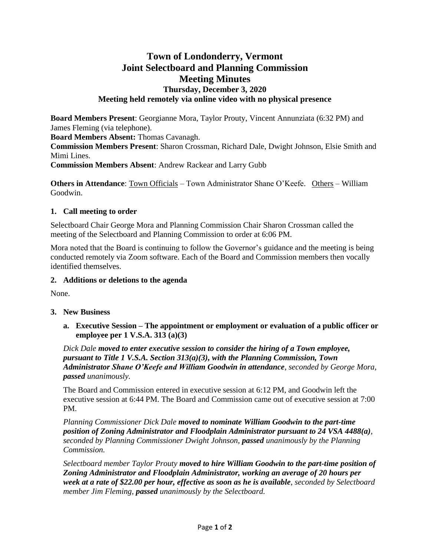# **Town of Londonderry, Vermont Joint Selectboard and Planning Commission Meeting Minutes Thursday, December 3, 2020 Meeting held remotely via online video with no physical presence**

**Board Members Present**: Georgianne Mora, Taylor Prouty, Vincent Annunziata (6:32 PM) and James Fleming (via telephone).

**Board Members Absent:** Thomas Cavanagh.

**Commission Members Present**: Sharon Crossman, Richard Dale, Dwight Johnson, Elsie Smith and Mimi Lines.

**Commission Members Absent**: Andrew Rackear and Larry Gubb

**Others in Attendance**: Town Officials – Town Administrator Shane O'Keefe. Others – William Goodwin.

#### **1. Call meeting to order**

Selectboard Chair George Mora and Planning Commission Chair Sharon Crossman called the meeting of the Selectboard and Planning Commission to order at 6:06 PM.

Mora noted that the Board is continuing to follow the Governor's guidance and the meeting is being conducted remotely via Zoom software. Each of the Board and Commission members then vocally identified themselves.

### **2. Additions or deletions to the agenda**

None.

### **3. New Business**

**a. Executive Session – The appointment or employment or evaluation of a public officer or employee per 1 V.S.A. 313 (a)(3)** 

*Dick Dale moved to enter executive session to consider the hiring of a Town employee, pursuant to Title 1 V.S.A. Section 313(a)(3), with the Planning Commission, Town Administrator Shane O'Keefe and William Goodwin in attendance, seconded by George Mora, passed unanimously.*

The Board and Commission entered in executive session at 6:12 PM, and Goodwin left the executive session at 6:44 PM. The Board and Commission came out of executive session at 7:00 PM.

*Planning Commissioner Dick Dale moved to nominate William Goodwin to the part-time position of Zoning Administrator and Floodplain Administrator pursuant to 24 VSA 4488(a), seconded by Planning Commissioner Dwight Johnson, passed unanimously by the Planning Commission.*

*Selectboard member Taylor Prouty moved to hire William Goodwin to the part-time position of Zoning Administrator and Floodplain Administrator, working an average of 20 hours per week at a rate of \$22.00 per hour, effective as soon as he is available, seconded by Selectboard member Jim Fleming, passed unanimously by the Selectboard.*